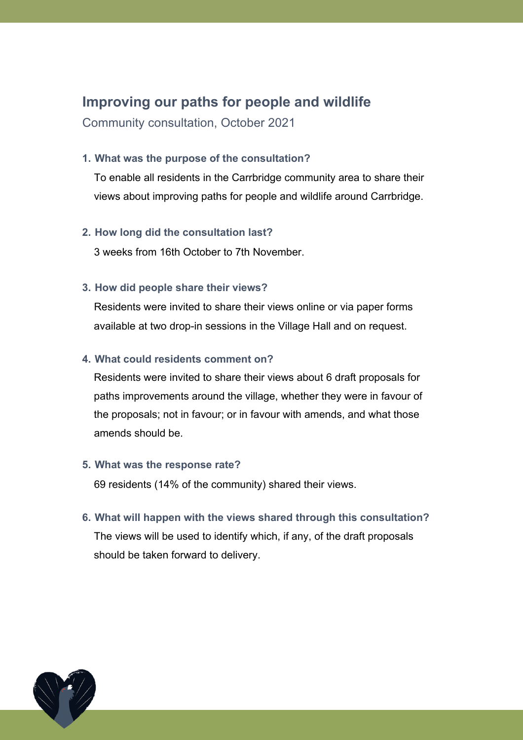# **Improving our paths for people and wildlife**

Community consultation, October 2021

#### **1. What was the purpose of the consultation?**

To enable all residents in the Carrbridge community area to share their views about improving paths for people and wildlife around Carrbridge.

## **2. How long did the consultation last?**

3 weeks from 16th October to 7th November.

## **3. How did people share their views?**

Residents were invited to share their views online or via paper forms available at two drop-in sessions in the Village Hall and on request.

## **4. What could residents comment on?**

Residents were invited to share their views about 6 draft proposals for paths improvements around the village, whether they were in favour of the proposals; not in favour; or in favour with amends, and what those amends should be.

#### **5. What was the response rate?**

69 residents (14% of the community) shared their views.

**6. What will happen with the views shared through this consultation?** The views will be used to identify which, if any, of the draft proposals should be taken forward to delivery.

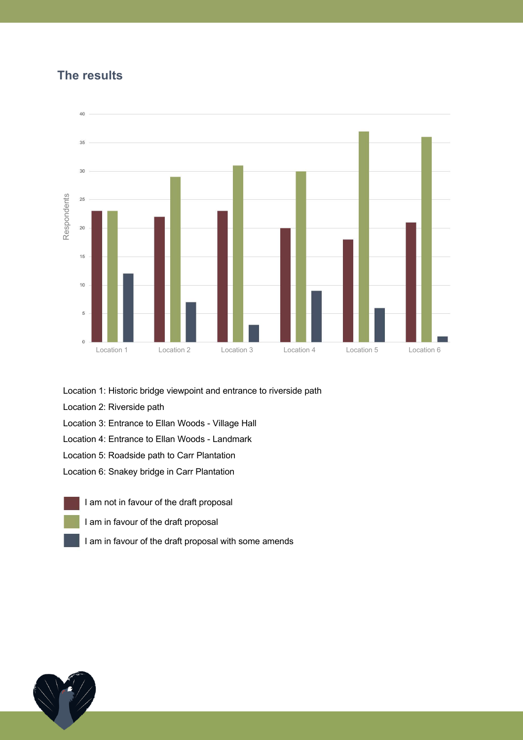## **The results**



Location 1: Historic bridge viewpoint and entrance to riverside path

- Location 2: Riverside path
- Location 3: Entrance to Ellan Woods Village Hall
- Location 4: Entrance to Ellan Woods Landmark
- Location 5: Roadside path to Carr Plantation
- Location 6: Snakey bridge in Carr Plantation
	- I am not in favour of the draft proposal
	- I am in favour of the draft proposal
	-

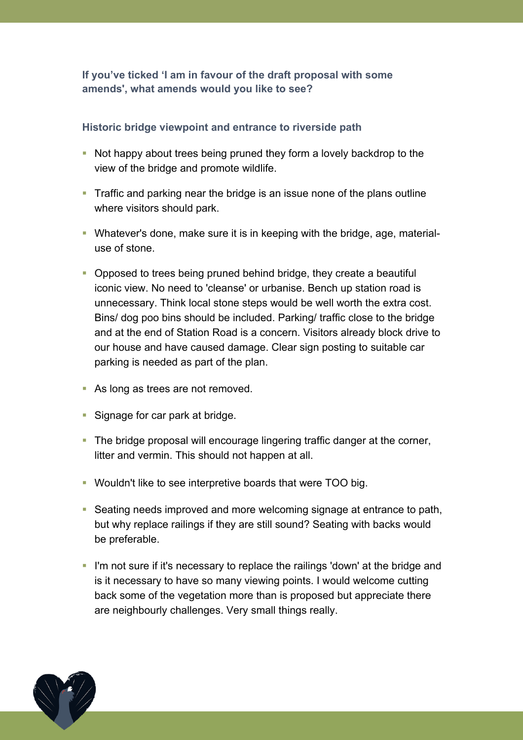**If you've ticked 'I am in favour of the draft proposal with some amends', what amends would you like to see?**

## **Historic bridge viewpoint and entrance to riverside path**

- Not happy about trees being pruned they form a lovely backdrop to the view of the bridge and promote wildlife.
- Traffic and parking near the bridge is an issue none of the plans outline where visitors should park.
- Whatever's done, make sure it is in keeping with the bridge, age, materialuse of stone.
- § Opposed to trees being pruned behind bridge, they create a beautiful iconic view. No need to 'cleanse' or urbanise. Bench up station road is unnecessary. Think local stone steps would be well worth the extra cost. Bins/ dog poo bins should be included. Parking/ traffic close to the bridge and at the end of Station Road is a concern. Visitors already block drive to our house and have caused damage. Clear sign posting to suitable car parking is needed as part of the plan.
- As long as trees are not removed.
- Signage for car park at bridge.
- The bridge proposal will encourage lingering traffic danger at the corner, litter and vermin. This should not happen at all.
- § Wouldn't like to see interpretive boards that were TOO big.
- Seating needs improved and more welcoming signage at entrance to path, but why replace railings if they are still sound? Seating with backs would be preferable.
- I'm not sure if it's necessary to replace the railings 'down' at the bridge and is it necessary to have so many viewing points. I would welcome cutting back some of the vegetation more than is proposed but appreciate there are neighbourly challenges. Very small things really.

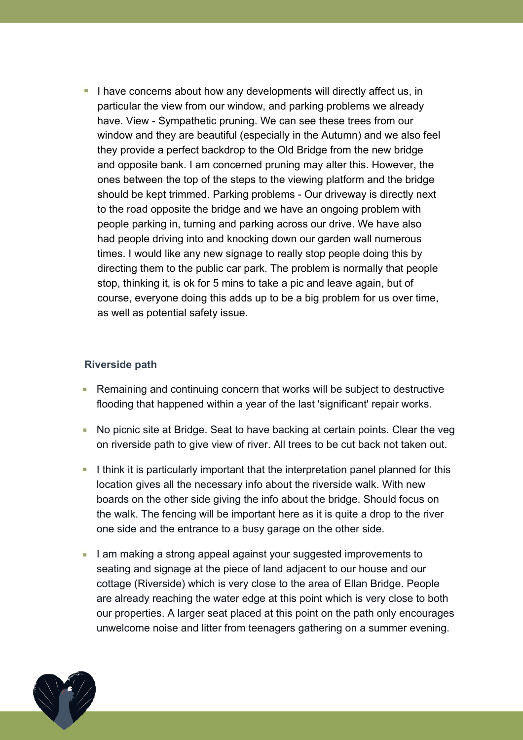I have concerns about how any developments will directly affect us, in particular the view from our window, and parking problems we already have. View - Sympathetic pruning. We can see these trees from our window and they are beautiful (especially in the Autumn) and we also feel they provide a perfect backdrop to the Old Bridge from the new bridge and opposite bank. I am concerned pruning may alter this. However, the ones between the top of the steps to the viewing platform and the bridge should be kept trimmed. Parking problems - Our driveway is directly next to the road opposite the bridge and we have an ongoing problem with people parking in, turning and parking across our drive. We have also had people driving into and knocking down our garden wall numerous times. I would like any new signage to really stop people doing this by directing them to the public car park. The problem is normally that people stop, thinking it, is ok for 5 mins to take a pic and leave again, but of course, everyone doing this adds up to be a big problem for us over time, as well as potential safety issue.

## **Riverside path**

- Remaining and continuing concern that works will be subject to destructive flooding that happened within a year of the last 'significant' repair works.
- No picnic site at Bridge. Seat to have backing at certain points. Clear the veg ■ on riverside path to give view of river. All trees to be cut back not taken out.
- I think it is particularly important that the interpretation panel planned for this location gives all the necessary info about the riverside walk. With new boards on the other side giving the info about the bridge. Should focus on the walk. The fencing will be important here as it is quite a drop to the river one side and the entrance to a busy garage on the other side.
- I am making a strong appeal against your suggested improvements to  $\blacksquare$ seating and signage at the piece of land adjacent to our house and our cottage (Riverside) which is very close to the area of Ellan Bridge. People are already reaching the water edge at this point which is very close to both our properties. A larger seat placed at this point on the path only encourages unwelcome noise and litter from teenagers gathering on a summer evening.

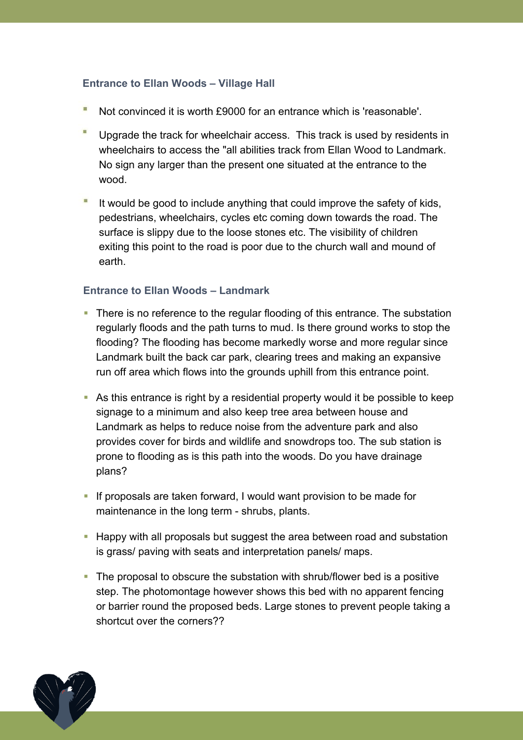## **Entrance to Ellan Woods – Village Hall**

- Not convinced it is worth £9000 for an entrance which is 'reasonable'.
- Upgrade the track for wheelchair access. This track is used by residents in wheelchairs to access the "all abilities track from Ellan Wood to Landmark. No sign any larger than the present one situated at the entrance to the wood.
- It would be good to include anything that could improve the safety of kids, pedestrians, wheelchairs, cycles etc coming down towards the road. The surface is slippy due to the loose stones etc. The visibility of children exiting this point to the road is poor due to the church wall and mound of earth.

## **Entrance to Ellan Woods – Landmark**

- There is no reference to the regular flooding of this entrance. The substation regularly floods and the path turns to mud. Is there ground works to stop the flooding? The flooding has become markedly worse and more regular since Landmark built the back car park, clearing trees and making an expansive run off area which flows into the grounds uphill from this entrance point.
- § As this entrance is right by a residential property would it be possible to keep signage to a minimum and also keep tree area between house and Landmark as helps to reduce noise from the adventure park and also provides cover for birds and wildlife and snowdrops too. The sub station is prone to flooding as is this path into the woods. Do you have drainage plans?
- If proposals are taken forward, I would want provision to be made for maintenance in the long term - shrubs, plants.
- Happy with all proposals but suggest the area between road and substation is grass/ paving with seats and interpretation panels/ maps.
- The proposal to obscure the substation with shrub/flower bed is a positive step. The photomontage however shows this bed with no apparent fencing or barrier round the proposed beds. Large stones to prevent people taking a shortcut over the corners??

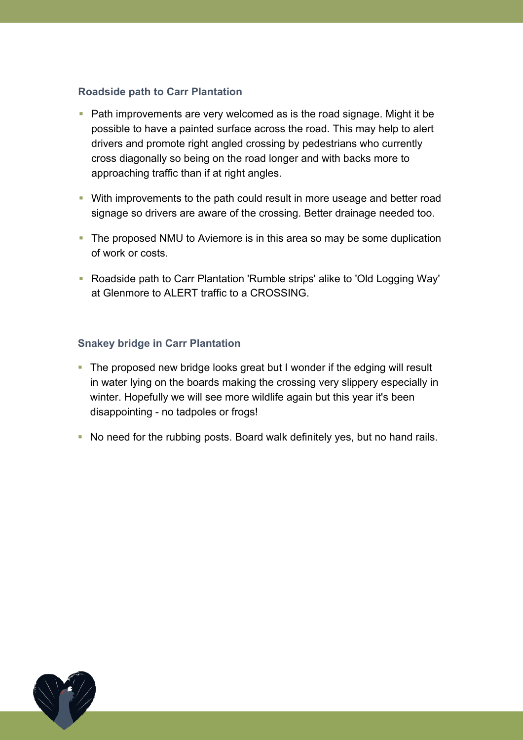## **Roadside path to Carr Plantation**

- Path improvements are very welcomed as is the road signage. Might it be possible to have a painted surface across the road. This may help to alert drivers and promote right angled crossing by pedestrians who currently cross diagonally so being on the road longer and with backs more to approaching traffic than if at right angles.
- With improvements to the path could result in more useage and better road signage so drivers are aware of the crossing. Better drainage needed too.
- The proposed NMU to Aviemore is in this area so may be some duplication of work or costs.
- Roadside path to Carr Plantation 'Rumble strips' alike to 'Old Logging Way' at Glenmore to ALERT traffic to a CROSSING.

## **Snakey bridge in Carr Plantation**

- The proposed new bridge looks great but I wonder if the edging will result in water lying on the boards making the crossing very slippery especially in winter. Hopefully we will see more wildlife again but this year it's been disappointing - no tadpoles or frogs!
- No need for the rubbing posts. Board walk definitely yes, but no hand rails.

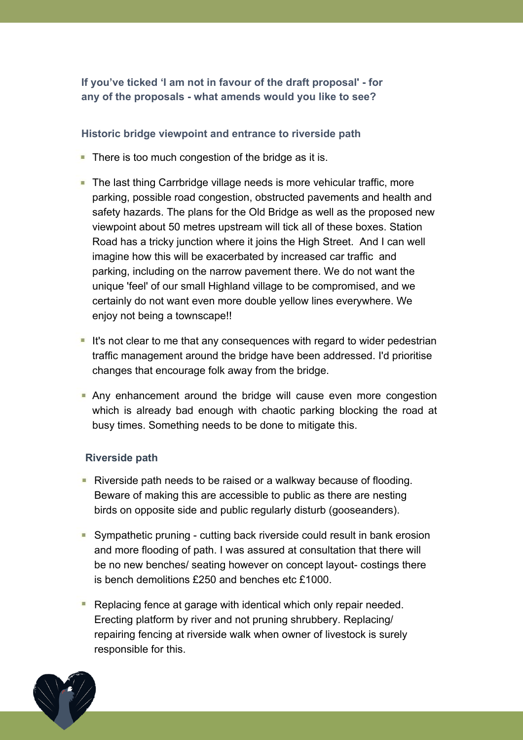**If you've ticked 'I am not in favour of the draft proposal' - for any of the proposals - what amends would you like to see?**

## **Historic bridge viewpoint and entrance to riverside path**

- $\blacksquare$  There is too much congestion of the bridge as it is.
- **The last thing Carrbridge village needs is more vehicular traffic, more** parking, possible road congestion, obstructed pavements and health and safety hazards. The plans for the Old Bridge as well as the proposed new viewpoint about 50 metres upstream will tick all of these boxes. Station Road has a tricky junction where it joins the High Street. And I can well imagine how this will be exacerbated by increased car traffic and parking, including on the narrow pavement there. We do not want the unique 'feel' of our small Highland village to be compromised, and we certainly do not want even more double yellow lines everywhere. We enjoy not being a townscape!!
- $\blacksquare$  It's not clear to me that any consequences with regard to wider pedestrian traffic management around the bridge have been addressed. I'd prioritise changes that encourage folk away from the bridge.
- **Any enhancement around the bridge will cause even more congestion** which is already bad enough with chaotic parking blocking the road at busy times. Something needs to be done to mitigate this.

#### **Riverside path**

- **Riverside path needs to be raised or a walkway because of flooding.** Beware of making this are accessible to public as there are nesting birds on opposite side and public regularly disturb (gooseanders).
- Sympathetic pruning cutting back riverside could result in bank erosion and more flooding of path. I was assured at consultation that there will be no new benches/ seating however on concept layout- costings there is bench demolitions £250 and benches etc £1000.
- Replacing fence at garage with identical which only repair needed. Erecting platform by river and not pruning shrubbery. Replacing/ repairing fencing at riverside walk when owner of livestock is surely responsible for this.

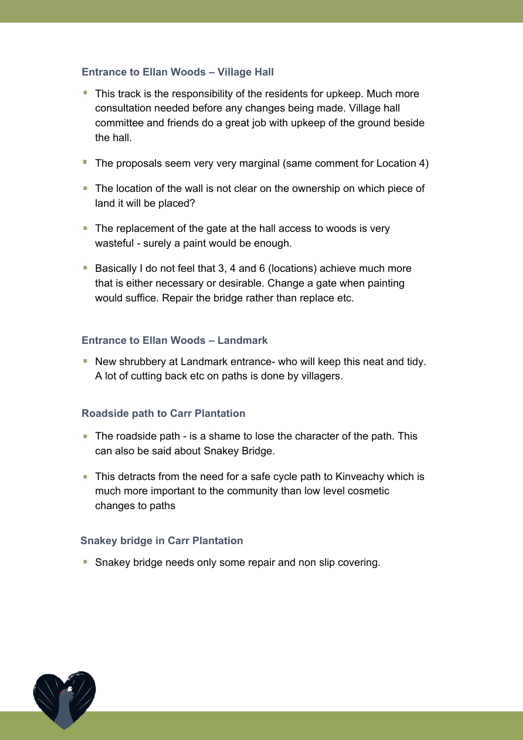## **Entrance to Ellan Woods – Village Hall**

- $\blacksquare$  This track is the responsibility of the residents for upkeep. Much more consultation needed before any changes being made. Village hall committee and friends do a great job with upkeep of the ground beside the hall.
- The proposals seem very very marginal (same comment for Location 4)
- The location of the wall is not clear on the ownership on which piece of land it will be placed?
- $\blacksquare$  The replacement of the gate at the hall access to woods is very wasteful - surely a paint would be enough.
- **Basically I do not feel that 3, 4 and 6 (locations) achieve much more** that is either necessary or desirable. Change a gate when painting would suffice. Repair the bridge rather than replace etc.

#### **Entrance to Ellan Woods – Landmark**

New shrubbery at Landmark entrance- who will keep this neat and tidy. A lot of cutting back etc on paths is done by villagers.

#### **Roadside path to Carr Plantation**

- $\blacksquare$  The roadside path is a shame to lose the character of the path. This can also be said about Snakey Bridge.
- $\blacksquare$  This detracts from the need for a safe cycle path to Kinveachy which is much more important to the community than low level cosmetic changes to paths

#### **Snakey bridge in Carr Plantation**

Snakey bridge needs only some repair and non slip covering.

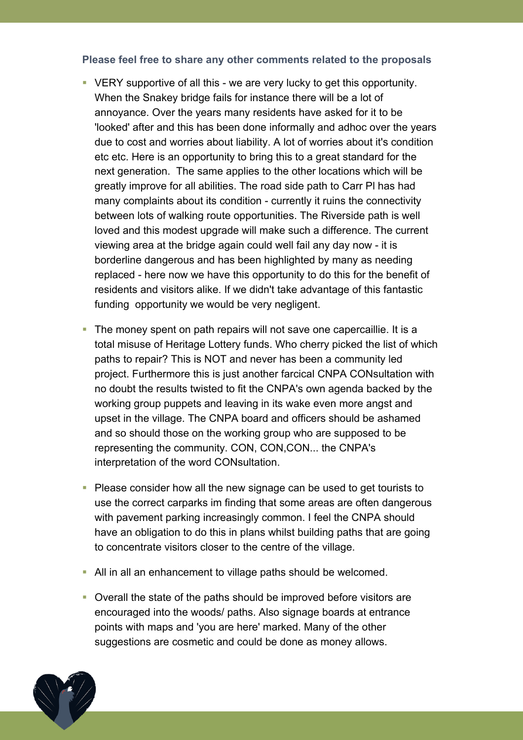#### **Please feel free to share any other comments related to the proposals**

- VERY supportive of all this we are very lucky to get this opportunity. When the Snakey bridge fails for instance there will be a lot of annoyance. Over the years many residents have asked for it to be 'looked' after and this has been done informally and adhoc over the years due to cost and worries about liability. A lot of worries about it's condition etc etc. Here is an opportunity to bring this to a great standard for the next generation. The same applies to the other locations which will be greatly improve for all abilities. The road side path to Carr Pl has had many complaints about its condition - currently it ruins the connectivity between lots of walking route opportunities. The Riverside path is well loved and this modest upgrade will make such a difference. The current viewing area at the bridge again could well fail any day now - it is borderline dangerous and has been highlighted by many as needing replaced - here now we have this opportunity to do this for the benefit of residents and visitors alike. If we didn't take advantage of this fantastic funding opportunity we would be very negligent.
- The money spent on path repairs will not save one capercaillie. It is a total misuse of Heritage Lottery funds. Who cherry picked the list of which paths to repair? This is NOT and never has been a community led project. Furthermore this is just another farcical CNPA CONsultation with no doubt the results twisted to fit the CNPA's own agenda backed by the working group puppets and leaving in its wake even more angst and upset in the village. The CNPA board and officers should be ashamed and so should those on the working group who are supposed to be representing the community. CON, CON,CON... the CNPA's interpretation of the word CONsultation.
- Please consider how all the new signage can be used to get tourists to use the correct carparks im finding that some areas are often dangerous with pavement parking increasingly common. I feel the CNPA should have an obligation to do this in plans whilst building paths that are going to concentrate visitors closer to the centre of the village.
- All in all an enhancement to village paths should be welcomed.
- Overall the state of the paths should be improved before visitors are encouraged into the woods/ paths. Also signage boards at entrance points with maps and 'you are here' marked. Many of the other suggestions are cosmetic and could be done as money allows.

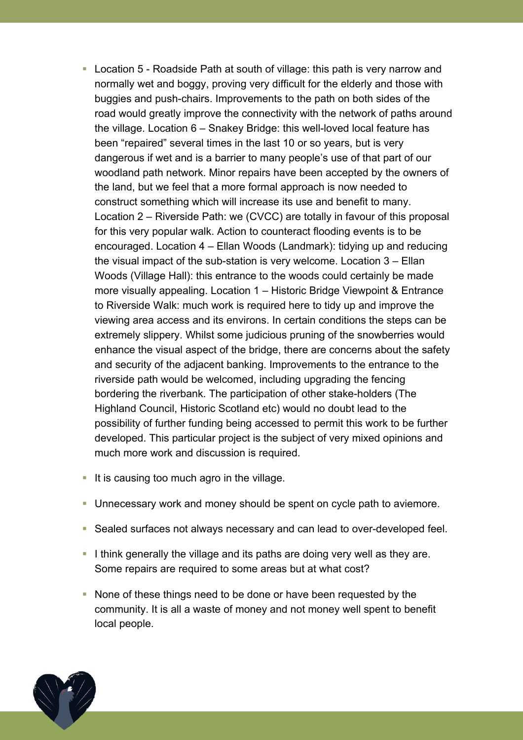- Location 5 Roadside Path at south of village: this path is very narrow and normally wet and boggy, proving very difficult for the elderly and those with buggies and push-chairs. Improvements to the path on both sides of the road would greatly improve the connectivity with the network of paths around the village. Location 6 – Snakey Bridge: this well-loved local feature has been "repaired" several times in the last 10 or so years, but is very dangerous if wet and is a barrier to many people's use of that part of our woodland path network. Minor repairs have been accepted by the owners of the land, but we feel that a more formal approach is now needed to construct something which will increase its use and benefit to many. Location 2 – Riverside Path: we (CVCC) are totally in favour of this proposal for this very popular walk. Action to counteract flooding events is to be encouraged. Location 4 – Ellan Woods (Landmark): tidying up and reducing the visual impact of the sub-station is very welcome. Location 3 – Ellan Woods (Village Hall): this entrance to the woods could certainly be made more visually appealing. Location 1 – Historic Bridge Viewpoint & Entrance to Riverside Walk: much work is required here to tidy up and improve the viewing area access and its environs. In certain conditions the steps can be extremely slippery. Whilst some judicious pruning of the snowberries would enhance the visual aspect of the bridge, there are concerns about the safety and security of the adjacent banking. Improvements to the entrance to the riverside path would be welcomed, including upgrading the fencing bordering the riverbank. The participation of other stake-holders (The Highland Council, Historic Scotland etc) would no doubt lead to the possibility of further funding being accessed to permit this work to be further developed. This particular project is the subject of very mixed opinions and much more work and discussion is required.
- $\blacksquare$  It is causing too much agro in the village.
- Unnecessary work and money should be spent on cycle path to aviemore.
- Sealed surfaces not always necessary and can lead to over-developed feel.
- I think generally the village and its paths are doing very well as they are. Some repairs are required to some areas but at what cost?
- None of these things need to be done or have been requested by the community. It is all a waste of money and not money well spent to benefit local people.

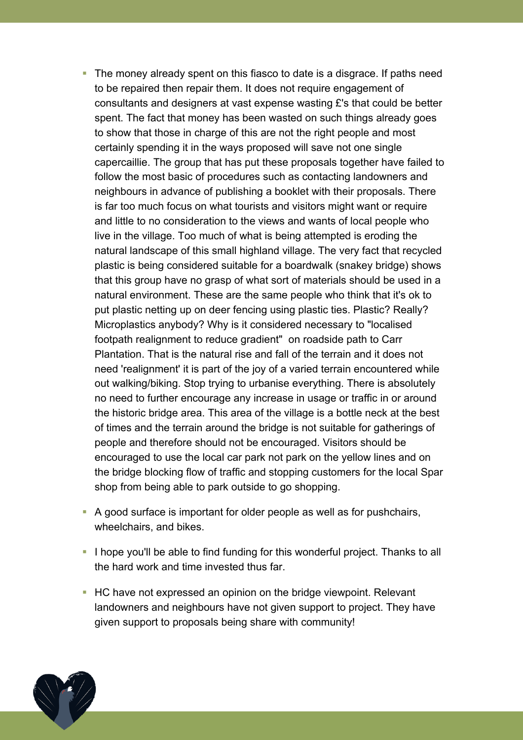- The money already spent on this fiasco to date is a disgrace. If paths need to be repaired then repair them. It does not require engagement of consultants and designers at vast expense wasting £'s that could be better spent. The fact that money has been wasted on such things already goes to show that those in charge of this are not the right people and most certainly spending it in the ways proposed will save not one single capercaillie. The group that has put these proposals together have failed to follow the most basic of procedures such as contacting landowners and neighbours in advance of publishing a booklet with their proposals. There is far too much focus on what tourists and visitors might want or require and little to no consideration to the views and wants of local people who live in the village. Too much of what is being attempted is eroding the natural landscape of this small highland village. The very fact that recycled plastic is being considered suitable for a boardwalk (snakey bridge) shows that this group have no grasp of what sort of materials should be used in a natural environment. These are the same people who think that it's ok to put plastic netting up on deer fencing using plastic ties. Plastic? Really? Microplastics anybody? Why is it considered necessary to "localised footpath realignment to reduce gradient" on roadside path to Carr Plantation. That is the natural rise and fall of the terrain and it does not need 'realignment' it is part of the joy of a varied terrain encountered while out walking/biking. Stop trying to urbanise everything. There is absolutely no need to further encourage any increase in usage or traffic in or around the historic bridge area. This area of the village is a bottle neck at the best of times and the terrain around the bridge is not suitable for gatherings of people and therefore should not be encouraged. Visitors should be encouraged to use the local car park not park on the yellow lines and on the bridge blocking flow of traffic and stopping customers for the local Spar shop from being able to park outside to go shopping.
- A good surface is important for older people as well as for pushchairs, wheelchairs, and bikes.
- I hope you'll be able to find funding for this wonderful project. Thanks to all the hard work and time invested thus far.
- HC have not expressed an opinion on the bridge viewpoint. Relevant landowners and neighbours have not given support to project. They have given support to proposals being share with community!

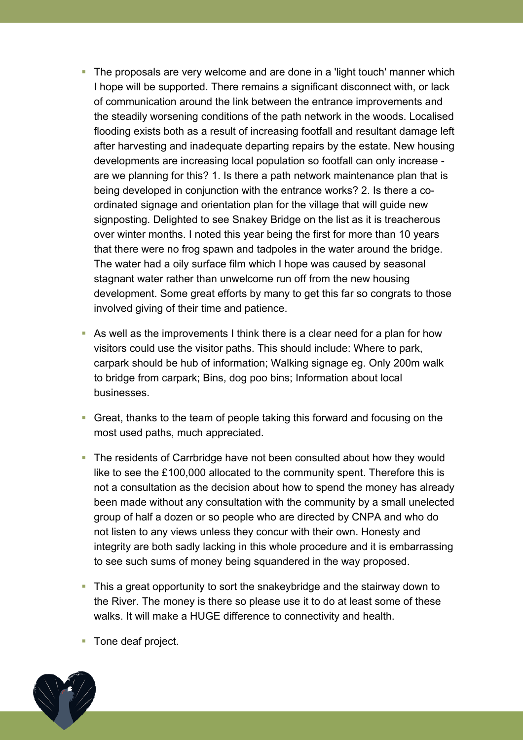- The proposals are very welcome and are done in a 'light touch' manner which I hope will be supported. There remains a significant disconnect with, or lack of communication around the link between the entrance improvements and the steadily worsening conditions of the path network in the woods. Localised flooding exists both as a result of increasing footfall and resultant damage left after harvesting and inadequate departing repairs by the estate. New housing developments are increasing local population so footfall can only increase are we planning for this? 1. Is there a path network maintenance plan that is being developed in conjunction with the entrance works? 2. Is there a coordinated signage and orientation plan for the village that will guide new signposting. Delighted to see Snakey Bridge on the list as it is treacherous over winter months. I noted this year being the first for more than 10 years that there were no frog spawn and tadpoles in the water around the bridge. The water had a oily surface film which I hope was caused by seasonal stagnant water rather than unwelcome run off from the new housing development. Some great efforts by many to get this far so congrats to those involved giving of their time and patience.
- As well as the improvements I think there is a clear need for a plan for how visitors could use the visitor paths. This should include: Where to park, carpark should be hub of information; Walking signage eg. Only 200m walk to bridge from carpark; Bins, dog poo bins; Information about local businesses.
- Great, thanks to the team of people taking this forward and focusing on the most used paths, much appreciated.
- The residents of Carrbridge have not been consulted about how they would like to see the £100,000 allocated to the community spent. Therefore this is not a consultation as the decision about how to spend the money has already been made without any consultation with the community by a small unelected group of half a dozen or so people who are directed by CNPA and who do not listen to any views unless they concur with their own. Honesty and integrity are both sadly lacking in this whole procedure and it is embarrassing to see such sums of money being squandered in the way proposed.
- This a great opportunity to sort the snakeybridge and the stairway down to the River. The money is there so please use it to do at least some of these walks. It will make a HUGE difference to connectivity and health.
- Tone deaf project.

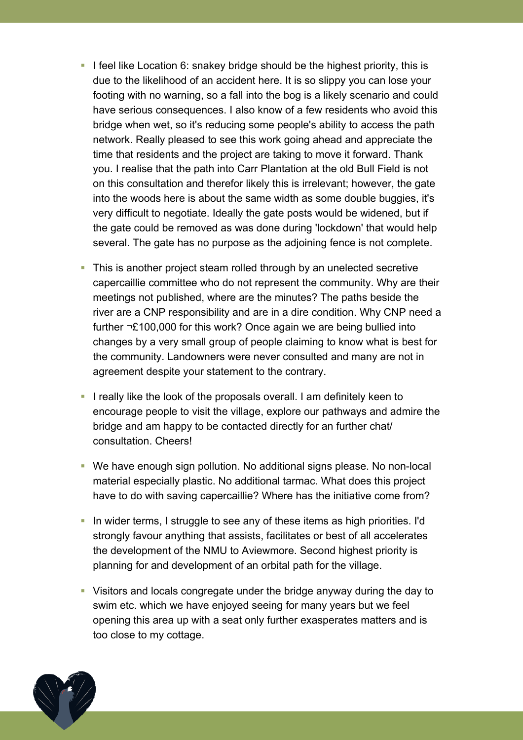- I feel like Location 6: snakey bridge should be the highest priority, this is due to the likelihood of an accident here. It is so slippy you can lose your footing with no warning, so a fall into the bog is a likely scenario and could have serious consequences. I also know of a few residents who avoid this bridge when wet, so it's reducing some people's ability to access the path network. Really pleased to see this work going ahead and appreciate the time that residents and the project are taking to move it forward. Thank you. I realise that the path into Carr Plantation at the old Bull Field is not on this consultation and therefor likely this is irrelevant; however, the gate into the woods here is about the same width as some double buggies, it's very difficult to negotiate. Ideally the gate posts would be widened, but if the gate could be removed as was done during 'lockdown' that would help several. The gate has no purpose as the adjoining fence is not complete.
- This is another project steam rolled through by an unelected secretive capercaillie committee who do not represent the community. Why are their meetings not published, where are the minutes? The paths beside the river are a CNP responsibility and are in a dire condition. Why CNP need a further  $\neg$ £100,000 for this work? Once again we are being bullied into changes by a very small group of people claiming to know what is best for the community. Landowners were never consulted and many are not in agreement despite your statement to the contrary.
- I really like the look of the proposals overall. I am definitely keen to encourage people to visit the village, explore our pathways and admire the bridge and am happy to be contacted directly for an further chat/ consultation. Cheers!
- We have enough sign pollution. No additional signs please. No non-local material especially plastic. No additional tarmac. What does this project have to do with saving capercaillie? Where has the initiative come from?
- In wider terms, I struggle to see any of these items as high priorities. I'd strongly favour anything that assists, facilitates or best of all accelerates the development of the NMU to Aviewmore. Second highest priority is planning for and development of an orbital path for the village.
- Visitors and locals congregate under the bridge anyway during the day to swim etc. which we have enjoyed seeing for many years but we feel opening this area up with a seat only further exasperates matters and is too close to my cottage.

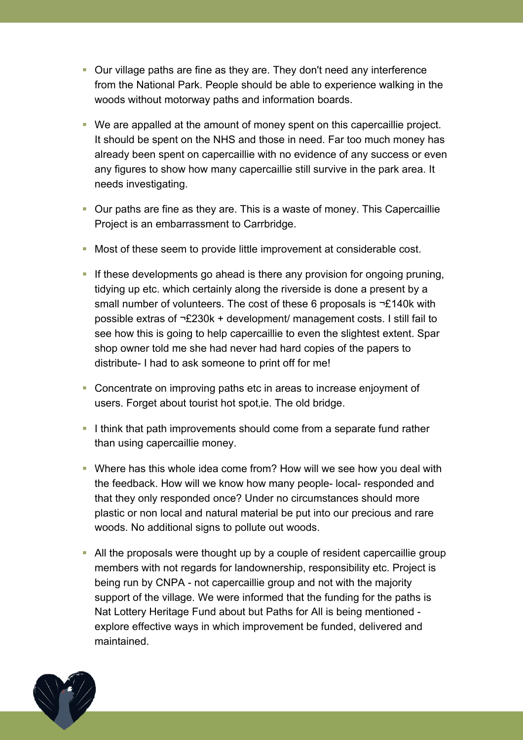- Our village paths are fine as they are. They don't need any interference from the National Park. People should be able to experience walking in the woods without motorway paths and information boards.
- We are appalled at the amount of money spent on this capercaillie project. It should be spent on the NHS and those in need. Far too much money has already been spent on capercaillie with no evidence of any success or even any figures to show how many capercaillie still survive in the park area. It needs investigating.
- Our paths are fine as they are. This is a waste of money. This Capercaillie Project is an embarrassment to Carrbridge.
- Most of these seem to provide little improvement at considerable cost.
- If these developments go ahead is there any provision for ongoing pruning, tidying up etc. which certainly along the riverside is done a present by a small number of volunteers. The cost of these 6 proposals is  $\neg$ £140k with possible extras of  $\neg$ £230k + development/ management costs. I still fail to see how this is going to help capercaillie to even the slightest extent. Spar shop owner told me she had never had hard copies of the papers to distribute- I had to ask someone to print off for me!
- Concentrate on improving paths etc in areas to increase enjoyment of users. Forget about tourist hot spot, ie. The old bridge.
- I think that path improvements should come from a separate fund rather than using capercaillie money.
- Where has this whole idea come from? How will we see how you deal with the feedback. How will we know how many people- local- responded and that they only responded once? Under no circumstances should more plastic or non local and natural material be put into our precious and rare woods. No additional signs to pollute out woods.
- All the proposals were thought up by a couple of resident capercaillie group members with not regards for landownership, responsibility etc. Project is being run by CNPA - not capercaillie group and not with the majority support of the village. We were informed that the funding for the paths is Nat Lottery Heritage Fund about but Paths for All is being mentioned explore effective ways in which improvement be funded, delivered and maintained.

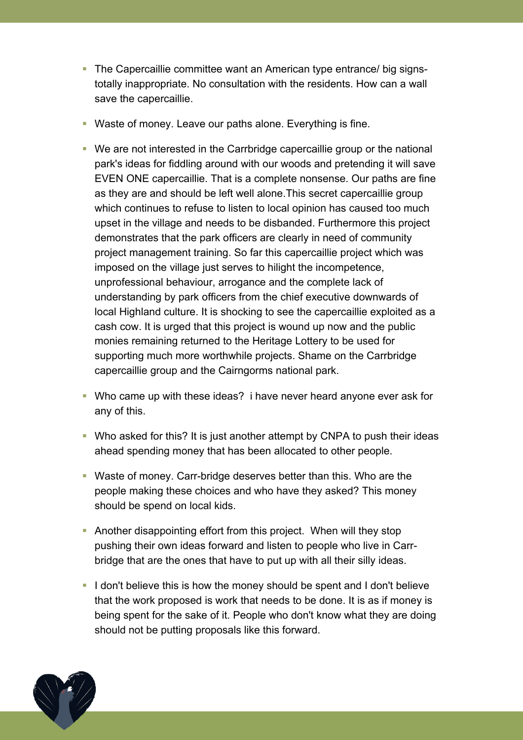- The Capercaillie committee want an American type entrance/ big signstotally inappropriate. No consultation with the residents. How can a wall save the capercaillie.
- Waste of money. Leave our paths alone. Everything is fine.
- We are not interested in the Carrbridge capercaillie group or the national park's ideas for fiddling around with our woods and pretending it will save EVEN ONE capercaillie. That is a complete nonsense. Our paths are fine as they are and should be left well alone.This secret capercaillie group which continues to refuse to listen to local opinion has caused too much upset in the village and needs to be disbanded. Furthermore this project demonstrates that the park officers are clearly in need of community project management training. So far this capercaillie project which was imposed on the village just serves to hilight the incompetence, unprofessional behaviour, arrogance and the complete lack of understanding by park officers from the chief executive downwards of local Highland culture. It is shocking to see the capercaillie exploited as a cash cow. It is urged that this project is wound up now and the public monies remaining returned to the Heritage Lottery to be used for supporting much more worthwhile projects. Shame on the Carrbridge capercaillie group and the Cairngorms national park.
- Who came up with these ideas? i have never heard anyone ever ask for any of this.
- Who asked for this? It is just another attempt by CNPA to push their ideas ahead spending money that has been allocated to other people.
- Waste of money. Carr-bridge deserves better than this. Who are the people making these choices and who have they asked? This money should be spend on local kids.
- Another disappointing effort from this project. When will they stop pushing their own ideas forward and listen to people who live in Carrbridge that are the ones that have to put up with all their silly ideas.
- I don't believe this is how the money should be spent and I don't believe that the work proposed is work that needs to be done. It is as if money is being spent for the sake of it. People who don't know what they are doing should not be putting proposals like this forward.

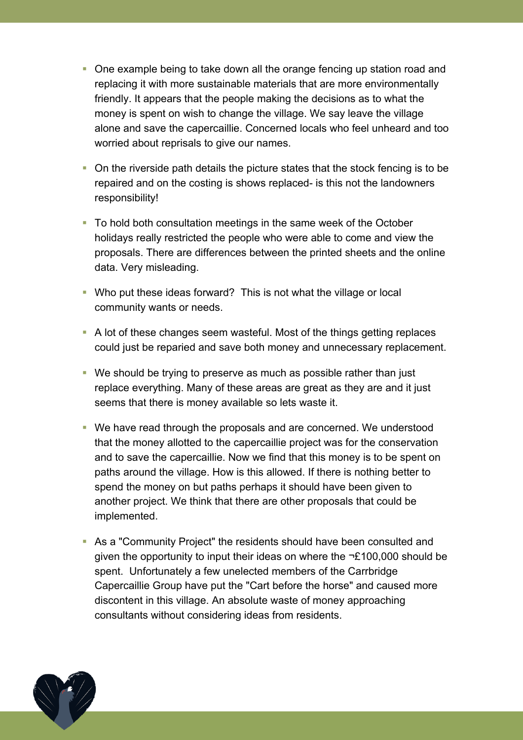- One example being to take down all the orange fencing up station road and replacing it with more sustainable materials that are more environmentally friendly. It appears that the people making the decisions as to what the money is spent on wish to change the village. We say leave the village alone and save the capercaillie. Concerned locals who feel unheard and too worried about reprisals to give our names.
- On the riverside path details the picture states that the stock fencing is to be repaired and on the costing is shows replaced- is this not the landowners responsibility!
- To hold both consultation meetings in the same week of the October holidays really restricted the people who were able to come and view the proposals. There are differences between the printed sheets and the online data. Very misleading.
- Who put these ideas forward? This is not what the village or local community wants or needs.
- A lot of these changes seem wasteful. Most of the things getting replaces could just be reparied and save both money and unnecessary replacement.
- We should be trying to preserve as much as possible rather than just replace everything. Many of these areas are great as they are and it just seems that there is money available so lets waste it.
- We have read through the proposals and are concerned. We understood that the money allotted to the capercaillie project was for the conservation and to save the capercaillie. Now we find that this money is to be spent on paths around the village. How is this allowed. If there is nothing better to spend the money on but paths perhaps it should have been given to another project. We think that there are other proposals that could be implemented.
- As a "Community Project" the residents should have been consulted and given the opportunity to input their ideas on where the  $\neg$ £100,000 should be spent. Unfortunately a few unelected members of the Carrbridge Capercaillie Group have put the "Cart before the horse" and caused more discontent in this village. An absolute waste of money approaching consultants without considering ideas from residents.